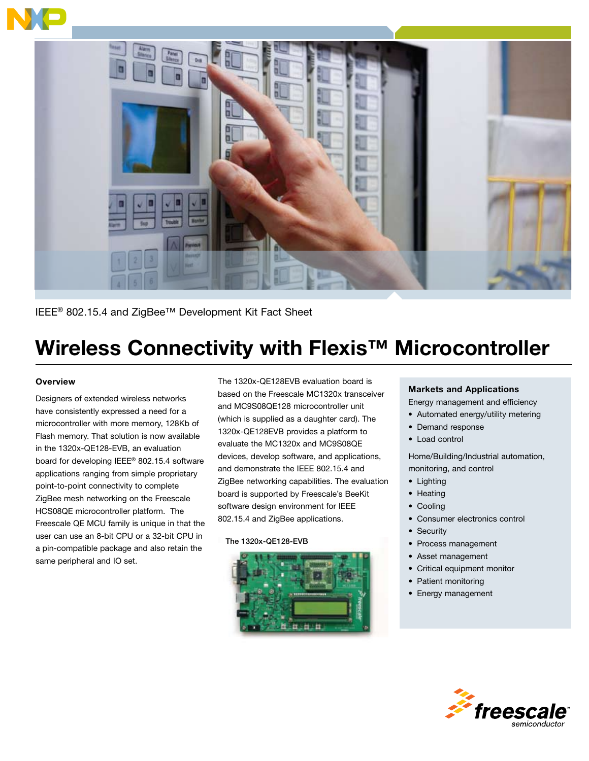

IEEE® 802.15.4 and ZigBee™ Development Kit Fact Sheet

# Wireless Connectivity with Flexis™ Microcontroller

# **Overview**

Designers of extended wireless networks have consistently expressed a need for a microcontroller with more memory, 128Kb of Flash memory. That solution is now available in the 1320x-QE128-EVB, an evaluation board for developing IEEE® 802.15.4 software applications ranging from simple proprietary point-to-point connectivity to complete ZigBee mesh networking on the Freescale HCS08QE microcontroller platform. The Freescale QE MCU family is unique in that the user can use an 8-bit CPU or a 32-bit CPU in a pin-compatible package and also retain the same peripheral and IO set.

The 1320x-QE128EVB evaluation board is based on the Freescale MC1320x transceiver and MC9S08QE128 microcontroller unit (which is supplied as a daughter card). The 1320x-QE128EVB provides a platform to evaluate the MC1320x and MC9S08QE devices, develop software, and applications, and demonstrate the IEEE 802.15.4 and ZigBee networking capabilities. The evaluation board is supported by Freescale's BeeKit software design environment for IEEE 802.15.4 and ZigBee applications.

### The 1320x-QE128-EVB



# Markets and Applications

Energy management and efficiency

- Automated energy/utility metering
- Demand response
- Load control

Home/Building/Industrial automation, monitoring, and control

- • Lighting
- Heating
- Cooling
- • Consumer electronics control
- Security
- • Process management
- Asset management
- • Critical equipment monitor
- Patient monitoring
- Energy management